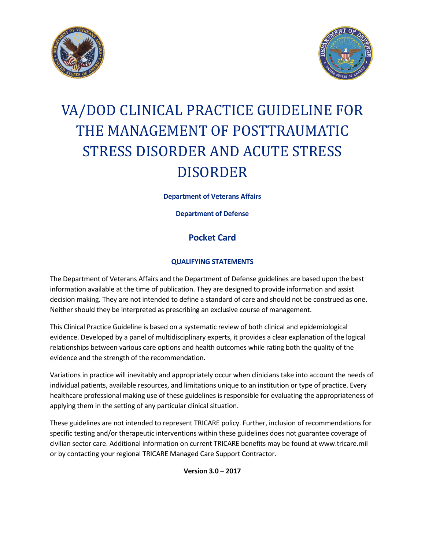



# VA/DOD CLINICAL PRACTICE GUIDELINE FOR THE MANAGEMENT OF POSTTRAUMATIC STRESS DISORDER AND ACUTE STRESS DISORDER

**Department of Veterans Affairs**

**Department of Defense**

# **Pocket Card**

# **QUALIFYING STATEMENTS**

The Department of Veterans Affairs and the Department of Defense guidelines are based upon the best information available at the time of publication. They are designed to provide information and assist decision making. They are not intended to define a standard of care and should not be construed as one. Neither should they be interpreted as prescribing an exclusive course of management.

This Clinical Practice Guideline is based on a systematic review of both clinical and epidemiological evidence. Developed by a panel of multidisciplinary experts, it provides a clear explanation of the logical relationships between various care options and health outcomes while rating both the quality of the evidence and the strength of the recommendation.

Variations in practice will inevitably and appropriately occur when clinicians take into account the needs of individual patients, available resources, and limitations unique to an institution or type of practice. Every healthcare professional making use of these guidelines is responsible for evaluating the appropriateness of applying them in the setting of any particular clinical situation.

These guidelines are not intended to represent TRICARE policy. Further, inclusion of recommendations for specific testing and/or therapeutic interventions within these guidelines does not guarantee coverage of civilian sector care. Additional information on current TRICARE benefits may be found at www.tricare.mil or by contacting your regional TRICARE Managed Care Support Contractor.

**Version 3.0 – 2017**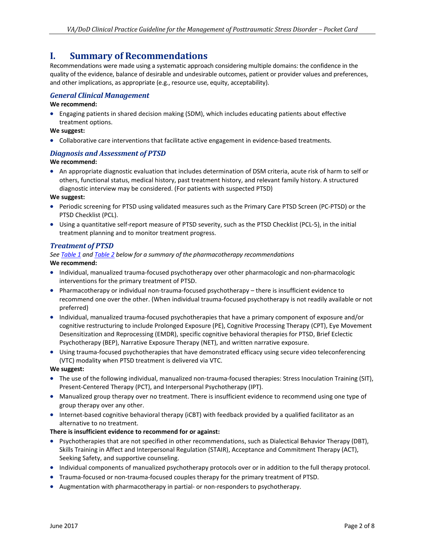# **I. Summary of Recommendations**

Recommendations were made using a systematic approach considering multiple domains: the confidence in the quality of the evidence, balance of desirable and undesirable outcomes, patient or provider values and preferences, and other implications, as appropriate (e.g., resource use, equity, acceptability).

## *General Clinical Management*

#### **We recommend:**

• Engaging patients in shared decision making (SDM), which includes educating patients about effective treatment options.

#### **We suggest:**

• Collaborative care interventions that facilitate active engagement in evidence-based treatments.

## *Diagnosis and Assessment of PTSD*

#### **We recommend:**

• An appropriate diagnostic evaluation that includes determination of DSM criteria, acute risk of harm to self or others, functional status, medical history, past treatment history, and relevant family history. A structured diagnostic interview may be considered. (For patients with suspected PTSD)

#### **We suggest:**

- Periodic screening for PTSD using validated measures such as the Primary Care PTSD Screen (PC-PTSD) or the PTSD Checklist (PCL).
- Using a quantitative self-report measure of PTSD severity, such as the PTSD Checklist (PCL-5), in the initial treatment planning and to monitor treatment progress.

## *Treatment of PTSD*

## *See [Table 1](#page-2-0) an[d Table 2](#page-3-0) below for a summary of the pharmacotherapy recommendations*

#### **We recommend:**

- Individual, manualized trauma-focused psychotherapy over other pharmacologic and non-pharmacologic interventions for the primary treatment of PTSD.
- Pharmacotherapy or individual non-trauma-focused psychotherapy there is insufficient evidence to recommend one over the other. (When individual trauma-focused psychotherapy is not readily available or not preferred)
- Individual, manualized trauma-focused psychotherapies that have a primary component of exposure and/or cognitive restructuring to include Prolonged Exposure (PE), Cognitive Processing Therapy (CPT), Eye Movement Desensitization and Reprocessing (EMDR), specific cognitive behavioral therapies for PTSD, Brief Eclectic Psychotherapy (BEP), Narrative Exposure Therapy (NET), and written narrative exposure.
- Using trauma-focused psychotherapies that have demonstrated efficacy using secure video teleconferencing (VTC) modality when PTSD treatment is delivered via VTC.

#### **We suggest:**

- The use of the following individual, manualized non-trauma-focused therapies: Stress Inoculation Training (SIT), Present-Centered Therapy (PCT), and Interpersonal Psychotherapy (IPT).
- Manualized group therapy over no treatment. There is insufficient evidence to recommend using one type of group therapy over any other.
- Internet-based cognitive behavioral therapy (iCBT) with feedback provided by a qualified facilitator as an alternative to no treatment.

#### **There is insufficient evidence to recommend for or against:**

- Psychotherapies that are not specified in other recommendations, such as Dialectical Behavior Therapy (DBT), Skills Training in Affect and Interpersonal Regulation (STAIR), Acceptance and Commitment Therapy (ACT), Seeking Safety, and supportive counseling.
- Individual components of manualized psychotherapy protocols over or in addition to the full therapy protocol.
- Trauma-focused or non-trauma-focused couples therapy for the primary treatment of PTSD.
- Augmentation with pharmacotherapy in partial- or non-responders to psychotherapy.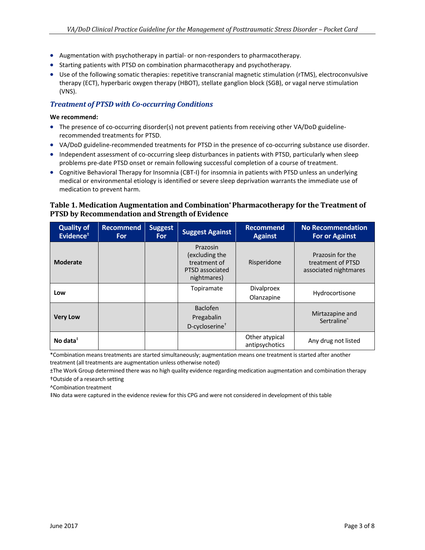- Augmentation with psychotherapy in partial- or non-responders to pharmacotherapy.
- Starting patients with PTSD on combination pharmacotherapy and psychotherapy.
- Use of the following somatic therapies: repetitive transcranial magnetic stimulation (rTMS), electroconvulsive therapy (ECT), hyperbaric oxygen therapy (HBOT), stellate ganglion block (SGB), or vagal nerve stimulation (VNS).

## *Treatment of PTSD with Co-occurring Conditions*

#### **We recommend:**

- The presence of co-occurring disorder(s) not prevent patients from receiving other VA/DoD guidelinerecommended treatments for PTSD.
- VA/DoD guideline-recommended treatments for PTSD in the presence of co-occurring substance use disorder.
- Independent assessment of co-occurring sleep disturbances in patients with PTSD, particularly when sleep problems pre-date PTSD onset or remain following successful completion of a course of treatment.
- Cognitive Behavioral Therapy for Insomnia (CBT-I) for insomnia in patients with PTSD unless an underlying medical or environmental etiology is identified or severe sleep deprivation warrants the immediate use of medication to prevent harm.

## <span id="page-2-0"></span>**Table 1. Medication Augmentation and Combination\* Pharmacotherapy for the Treatment of PTSD by Recommendation and Strength of Evidence**

| <b>Quality of</b><br>Evidence <sup>±</sup> | <b>Recommend</b><br><b>For</b> | <b>Suggest</b><br><b>For</b> | <b>Suggest Against</b>                                                       | <b>Recommend</b><br><b>Against</b> | <b>No Recommendation</b><br><b>For or Against</b>              |
|--------------------------------------------|--------------------------------|------------------------------|------------------------------------------------------------------------------|------------------------------------|----------------------------------------------------------------|
| <b>Moderate</b>                            |                                |                              | Prazosin<br>(excluding the<br>treatment of<br>PTSD associated<br>nightmares) | Risperidone                        | Prazosin for the<br>treatment of PTSD<br>associated nightmares |
| Low                                        |                                |                              | Topiramate                                                                   | <b>Divalproex</b><br>Olanzapine    | Hydrocortisone                                                 |
| <b>Very Low</b>                            |                                |                              | <b>Baclofen</b><br>Pregabalin<br>D-cycloserine <sup>+</sup>                  |                                    | Mirtazapine and<br>Sertraline <sup>^</sup>                     |
| No data $^{\ddagger}$                      |                                |                              |                                                                              | Other atypical<br>antipsychotics   | Any drug not listed                                            |

\*Combination means treatments are started simultaneously; augmentation means one treatment is started after another treatment (all treatments are augmentation unless otherwise noted)

±The Work Group determined there was no high quality evidence regarding medication augmentation and combination therapy

†Outside of a research setting

^Combination treatment

‡No data were captured in the evidence review for this CPG and were not considered in development of this table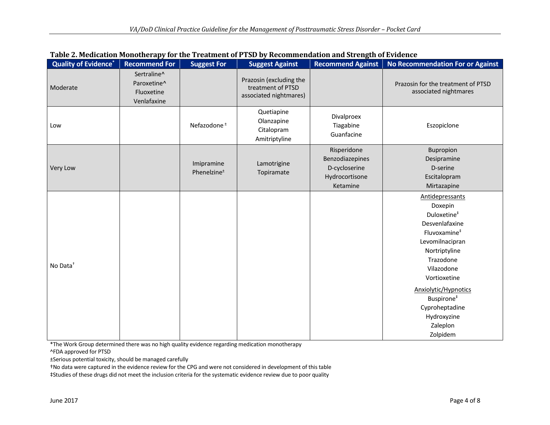<span id="page-3-0"></span>

| <b>Quality of Evidence*</b> | <b>Recommend For</b>                                    | <b>Suggest For</b>                    | <b>Suggest Against</b>                                                 | <b>Recommend Against</b>                                                      | <b>No Recommendation For or Against</b>                                                                                                                                                                                                                                                       |
|-----------------------------|---------------------------------------------------------|---------------------------------------|------------------------------------------------------------------------|-------------------------------------------------------------------------------|-----------------------------------------------------------------------------------------------------------------------------------------------------------------------------------------------------------------------------------------------------------------------------------------------|
| Moderate                    | Sertraline^<br>Paroxetine^<br>Fluoxetine<br>Venlafaxine |                                       | Prazosin (excluding the<br>treatment of PTSD<br>associated nightmares) |                                                                               | Prazosin for the treatment of PTSD<br>associated nightmares                                                                                                                                                                                                                                   |
| Low                         |                                                         | Nefazodone <sup>+</sup>               | Quetiapine<br>Olanzapine<br>Citalopram<br>Amitriptyline                | Divalproex<br>Tiagabine<br>Guanfacine                                         | Eszopiclone                                                                                                                                                                                                                                                                                   |
| Very Low                    |                                                         | Imipramine<br>Phenelzine <sup>±</sup> | Lamotrigine<br>Topiramate                                              | Risperidone<br>Benzodiazepines<br>D-cycloserine<br>Hydrocortisone<br>Ketamine | Bupropion<br>Desipramine<br>D-serine<br>Escitalopram<br>Mirtazapine                                                                                                                                                                                                                           |
| No Data <sup>+</sup>        |                                                         |                                       |                                                                        |                                                                               | Antidepressants<br>Doxepin<br>Duloxetine <sup>#</sup><br>Desvenlafaxine<br>Fluvoxamine <sup>#</sup><br>Levomilnacipran<br>Nortriptyline<br>Trazodone<br>Vilazodone<br>Vortioxetine<br>Anxiolytic/Hypnotics<br>Buspirone <sup>#</sup><br>Cyproheptadine<br>Hydroxyzine<br>Zaleplon<br>Zolpidem |

| Table 2. Medication Monotherapy for the Treatment of PTSD by Recommendation and Strength of Evidence |  |
|------------------------------------------------------------------------------------------------------|--|
|------------------------------------------------------------------------------------------------------|--|

\*The Work Group determined there was no high quality evidence regarding medication monotherapy

^FDA approved for PTSD

±Serious potential toxicity, should be managed carefully

†No data were captured in the evidence review for the CPG and were not considered in development of this table

‡Studies of these drugs did not meet the inclusion criteria for the systematic evidence review due to poor quality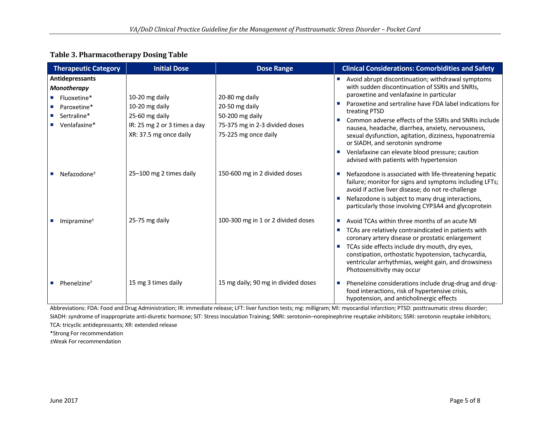| <b>Table 3. Pharmacotherapy Dosing Table</b> |
|----------------------------------------------|
|----------------------------------------------|

| <b>Therapeutic Category</b>                                                                                                                         | <b>Initial Dose</b>                                                                                                                     | <b>Dose Range</b>                                                                                                                              | <b>Clinical Considerations: Comorbidities and Safety</b>                                                                                                                                                                                                                                                                                                                                                                                                                                                                                                                                                |
|-----------------------------------------------------------------------------------------------------------------------------------------------------|-----------------------------------------------------------------------------------------------------------------------------------------|------------------------------------------------------------------------------------------------------------------------------------------------|---------------------------------------------------------------------------------------------------------------------------------------------------------------------------------------------------------------------------------------------------------------------------------------------------------------------------------------------------------------------------------------------------------------------------------------------------------------------------------------------------------------------------------------------------------------------------------------------------------|
| <b>Antidepressants</b><br><b>Monotherapy</b><br>Fluoxetine*<br>Paroxetine*<br>Sertraline*<br>$\blacksquare$ Venlafaxine*<br>Nefazodone <sup>±</sup> | 10-20 mg daily<br>10-20 mg daily<br>25-60 mg daily<br>IR: 25 mg 2 or 3 times a day<br>XR: 37.5 mg once daily<br>25-100 mg 2 times daily | 20-80 mg daily<br>20-50 mg daily<br>50-200 mg daily<br>75-375 mg in 2-3 divided doses<br>75-225 mg once daily<br>150-600 mg in 2 divided doses | Avoid abrupt discontinuation; withdrawal symptoms<br>with sudden discontinuation of SSRIs and SNRIs,<br>paroxetine and venlafaxine in particular<br>Paroxetine and sertraline have FDA label indications for<br>treating PTSD<br>Common adverse effects of the SSRIs and SNRIs include<br>nausea, headache, diarrhea, anxiety, nervousness,<br>sexual dysfunction, agitation, dizziness, hyponatremia<br>or SIADH, and serotonin syndrome<br>Venlafaxine can elevate blood pressure; caution<br>advised with patients with hypertension<br>Nefazodone is associated with life-threatening hepatic<br>×. |
|                                                                                                                                                     |                                                                                                                                         |                                                                                                                                                | failure; monitor for signs and symptoms including LFTs;<br>avoid if active liver disease; do not re-challenge<br>Nefazodone is subject to many drug interactions,<br>particularly those involving CYP3A4 and glycoprotein                                                                                                                                                                                                                                                                                                                                                                               |
| Imipramine $±$                                                                                                                                      | 25-75 mg daily                                                                                                                          | 100-300 mg in 1 or 2 divided doses                                                                                                             | Avoid TCAs within three months of an acute MI<br>TCAs are relatively contraindicated in patients with<br>coronary artery disease or prostatic enlargement<br>TCAs side effects include dry mouth, dry eyes,<br>constipation, orthostatic hypotension, tachycardia,<br>ventricular arrhythmias, weight gain, and drowsiness<br>Photosensitivity may occur                                                                                                                                                                                                                                                |
| Phenelzine $±$                                                                                                                                      | 15 mg 3 times daily                                                                                                                     | 15 mg daily; 90 mg in divided doses                                                                                                            | Phenelzine considerations include drug-drug and drug-<br>×.<br>food interactions, risk of hypertensive crisis,<br>hypotension, and anticholinergic effects                                                                                                                                                                                                                                                                                                                                                                                                                                              |

Abbreviations: FDA: Food and Drug Administration; IR: immediate release; LFT: liver function tests; mg: milligram; MI: myocardial infarction; PTSD: posttraumatic stress disorder; SIADH: syndrome of inappropriate anti-diuretic hormone; SIT: Stress Inoculation Training; SNRI: serotonin–norepinephrine reuptake inhibitors; SSRI: serotonin reuptake inhibitors; TCA: tricyclic antidepressants; XR: extended release

\*Strong For recommendation

±Weak For recommendation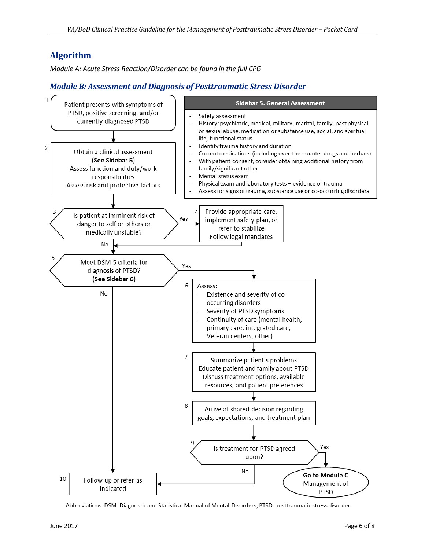# **Algorithm**

*Module A: Acute Stress Reaction/Disorder can be found in the full CPG*

# *Module B: Assessment and Diagnosis of Posttraumatic Stress Disorder*



Abbreviations: DSM: Diagnostic and Statistical Manual of Mental Disorders; PTSD: posttraumatic stress disorder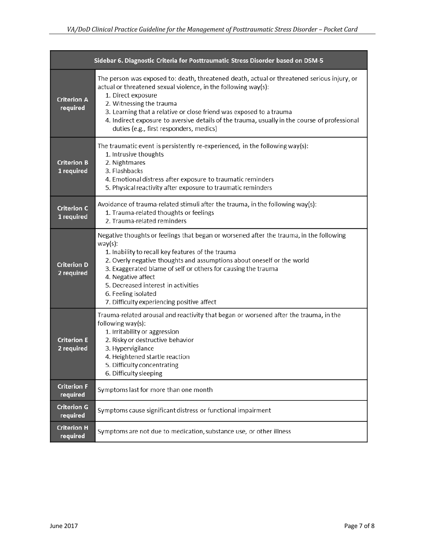|                                  | Sidebar 6. Diagnostic Criteria for Posttraumatic Stress Disorder based on DSM-5                                                                                                                                                                                                                                                                                                                                                         |  |
|----------------------------------|-----------------------------------------------------------------------------------------------------------------------------------------------------------------------------------------------------------------------------------------------------------------------------------------------------------------------------------------------------------------------------------------------------------------------------------------|--|
| <b>Criterion A</b><br>required   | The person was exposed to: death, threatened death, actual or threatened serious injury, or<br>actual or threatened sexual violence, in the following way(s):<br>1. Direct exposure<br>2. Witnessing the trauma<br>3. Learning that a relative or close friend was exposed to a trauma<br>4. Indirect exposure to aversive details of the trauma, usually in the course of professional<br>duties (e.g., first responders, medics)      |  |
| <b>Criterion B</b><br>1 required | The traumatic event is persistently re-experienced, in the following way(s):<br>1. Intrusive thoughts<br>2. Nightmares<br>3. Flashbacks<br>4. Emotional distress after exposure to traumatic reminders<br>5. Physical reactivity after exposure to traumatic reminders                                                                                                                                                                  |  |
| <b>Criterion C</b><br>1 required | Avoidance of trauma-related stimuli after the trauma, in the following way(s):<br>1. Trauma-related thoughts or feelings<br>2. Trauma-related reminders                                                                                                                                                                                                                                                                                 |  |
| <b>Criterion D</b><br>2 required | Negative thoughts or feelings that began or worsened after the trauma, in the following<br>$way(s)$ :<br>1. Inability to recall key features of the trauma<br>2. Overly negative thoughts and assumptions about oneself or the world<br>3. Exaggerated blame of self or others for causing the trauma<br>4. Negative affect<br>5. Decreased interest in activities<br>6. Feeling isolated<br>7. Difficulty experiencing positive affect |  |
| <b>Criterion E</b><br>2 required | Trauma-related arousal and reactivity that began or worsened after the trauma, in the<br>following way(s):<br>1. Irritability or aggression<br>2. Risky or destructive behavior<br>3. Hypervigilance<br>4. Heightened startle reaction<br>5. Difficulty concentrating<br>6. Difficulty sleeping                                                                                                                                         |  |
| <b>Criterion F</b><br>required   | Symptoms last for more than one month                                                                                                                                                                                                                                                                                                                                                                                                   |  |
| <b>Criterion G</b><br>required   | Symptoms cause significant distress or functional impairment                                                                                                                                                                                                                                                                                                                                                                            |  |
| <b>Criterion H</b><br>required   | Symptoms are not due to medication, substance use, or other illness                                                                                                                                                                                                                                                                                                                                                                     |  |